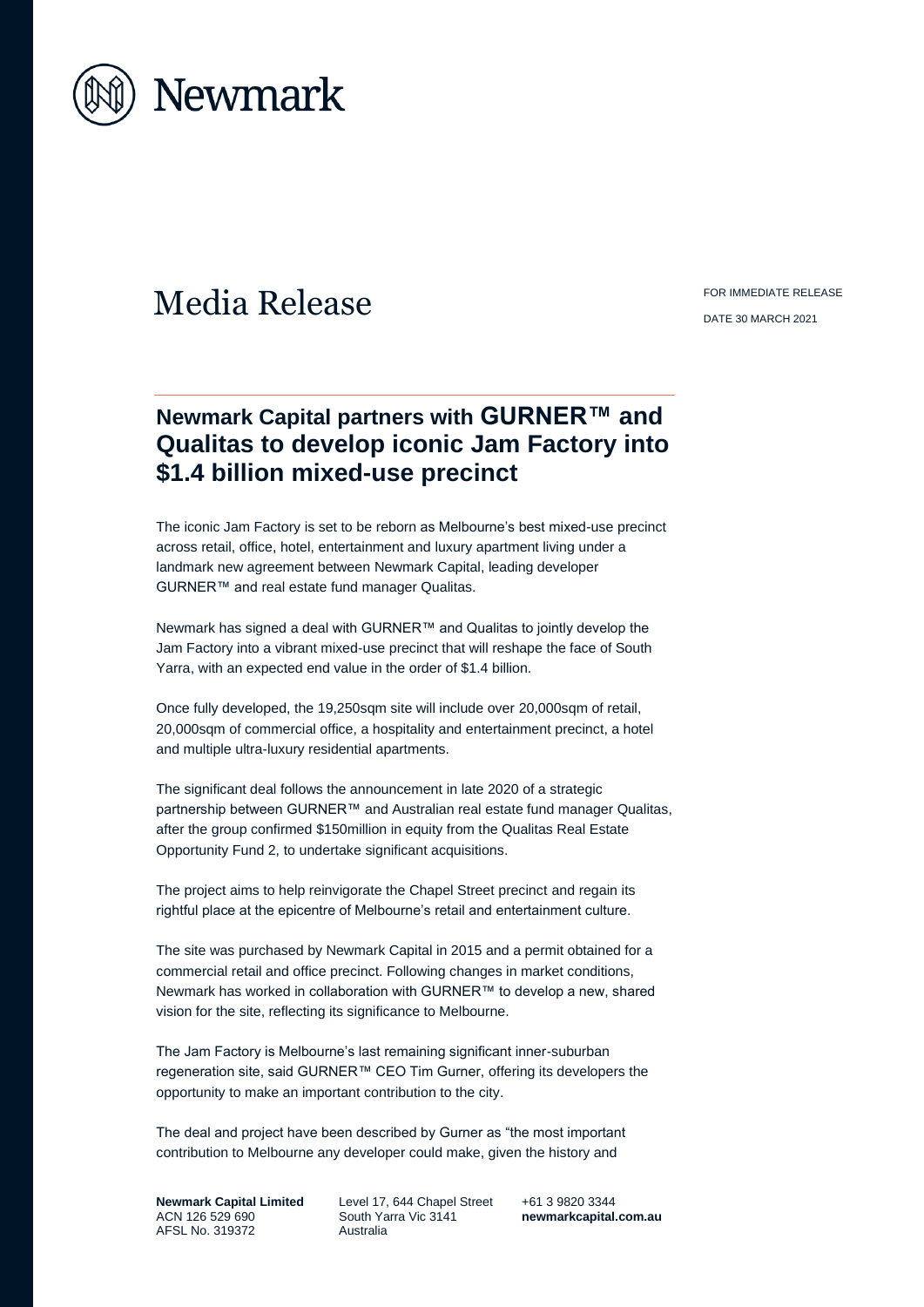

## Media Release FOR IMMEDIATE RELEASE

DATE 30 MARCH 2021

## **Newmark Capital partners with GURNER™ and Qualitas to develop iconic Jam Factory into \$1.4 billion mixed-use precinct**

The iconic Jam Factory is set to be reborn as Melbourne's best mixed-use precinct across retail, office, hotel, entertainment and luxury apartment living under a landmark new agreement between Newmark Capital, leading developer GURNER™ and real estate fund manager Qualitas.

Newmark has signed a deal with GURNER™ and Qualitas to jointly develop the Jam Factory into a vibrant mixed-use precinct that will reshape the face of South Yarra, with an expected end value in the order of \$1.4 billion.

Once fully developed, the 19,250sqm site will include over 20,000sqm of retail, 20,000sqm of commercial office, a hospitality and entertainment precinct, a hotel and multiple ultra-luxury residential apartments.

The significant deal follows the announcement in late 2020 of a strategic partnership between GURNER™ and Australian real estate fund manager Qualitas, after the group confirmed \$150million in equity from the Qualitas Real Estate Opportunity Fund 2, to undertake significant acquisitions.

The project aims to help reinvigorate the Chapel Street precinct and regain its rightful place at the epicentre of Melbourne's retail and entertainment culture.

The site was purchased by Newmark Capital in 2015 and a permit obtained for a commercial retail and office precinct. Following changes in market conditions, Newmark has worked in collaboration with GURNER™ to develop a new, shared vision for the site, reflecting its significance to Melbourne.

The Jam Factory is Melbourne's last remaining significant inner-suburban regeneration site, said GURNER™ CEO Tim Gurner, offering its developers the opportunity to make an important contribution to the city.

The deal and project have been described by Gurner as "the most important contribution to Melbourne any developer could make, given the history and

**Newmark Capital Limited** ACN 126 529 690 AFSL No. 319372

Level 17, 644 Chapel Street South Yarra Vic 3141 Australia

+61 3 9820 3344 **[newmarkcapital.com.au](http://www.newmarkcapital.com.au/)**